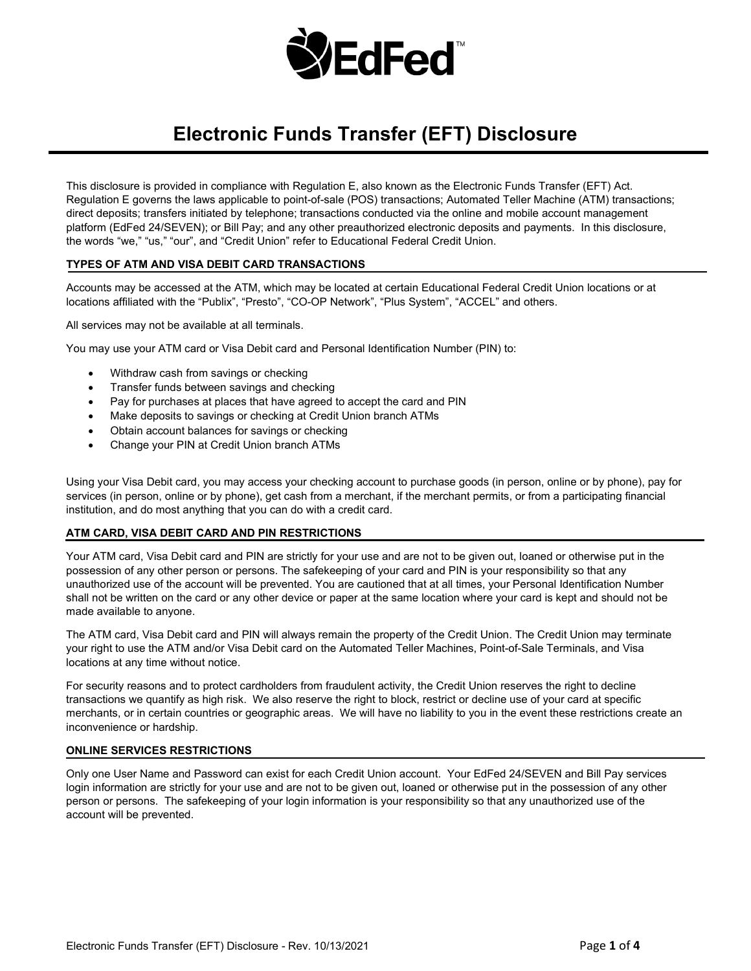

# **Electronic Funds Transfer (EFT) Disclosure**

This disclosure is provided in compliance with Regulation E, also known as the Electronic Funds Transfer (EFT) Act. Regulation E governs the laws applicable to point-of-sale (POS) transactions; Automated Teller Machine (ATM) transactions; direct deposits; transfers initiated by telephone; transactions conducted via the online and mobile account management platform (EdFed 24/SEVEN); or Bill Pay; and any other preauthorized electronic deposits and payments. In this disclosure, the words "we," "us," "our", and "Credit Union" refer to Educational Federal Credit Union.

## **TYPES OF ATM AND VISA DEBIT CARD TRANSACTIONS**

Accounts may be accessed at the ATM, which may be located at certain Educational Federal Credit Union locations or at locations affiliated with the "Publix", "Presto", "CO-OP Network", "Plus System", "ACCEL" and others.

All services may not be available at all terminals.

You may use your ATM card or Visa Debit card and Personal Identification Number (PIN) to:

- Withdraw cash from savings or checking
- Transfer funds between savings and checking
- Pay for purchases at places that have agreed to accept the card and PIN
- Make deposits to savings or checking at Credit Union branch ATMs
- Obtain account balances for savings or checking
- Change your PIN at Credit Union branch ATMs

Using your Visa Debit card, you may access your checking account to purchase goods (in person, online or by phone), pay for services (in person, online or by phone), get cash from a merchant, if the merchant permits, or from a participating financial institution, and do most anything that you can do with a credit card.

## **ATM CARD, VISA DEBIT CARD AND PIN RESTRICTIONS**

Your ATM card, Visa Debit card and PIN are strictly for your use and are not to be given out, loaned or otherwise put in the possession of any other person or persons. The safekeeping of your card and PIN is your responsibility so that any unauthorized use of the account will be prevented. You are cautioned that at all times, your Personal Identification Number shall not be written on the card or any other device or paper at the same location where your card is kept and should not be made available to anyone.

The ATM card, Visa Debit card and PIN will always remain the property of the Credit Union. The Credit Union may terminate your right to use the ATM and/or Visa Debit card on the Automated Teller Machines, Point-of-Sale Terminals, and Visa locations at any time without notice.

For security reasons and to protect cardholders from fraudulent activity, the Credit Union reserves the right to decline transactions we quantify as high risk. We also reserve the right to block, restrict or decline use of your card at specific merchants, or in certain countries or geographic areas. We will have no liability to you in the event these restrictions create an inconvenience or hardship.

#### **ONLINE SERVICES RESTRICTIONS**

Only one User Name and Password can exist for each Credit Union account. Your EdFed 24/SEVEN and Bill Pay services login information are strictly for your use and are not to be given out, loaned or otherwise put in the possession of any other person or persons. The safekeeping of your login information is your responsibility so that any unauthorized use of the account will be prevented.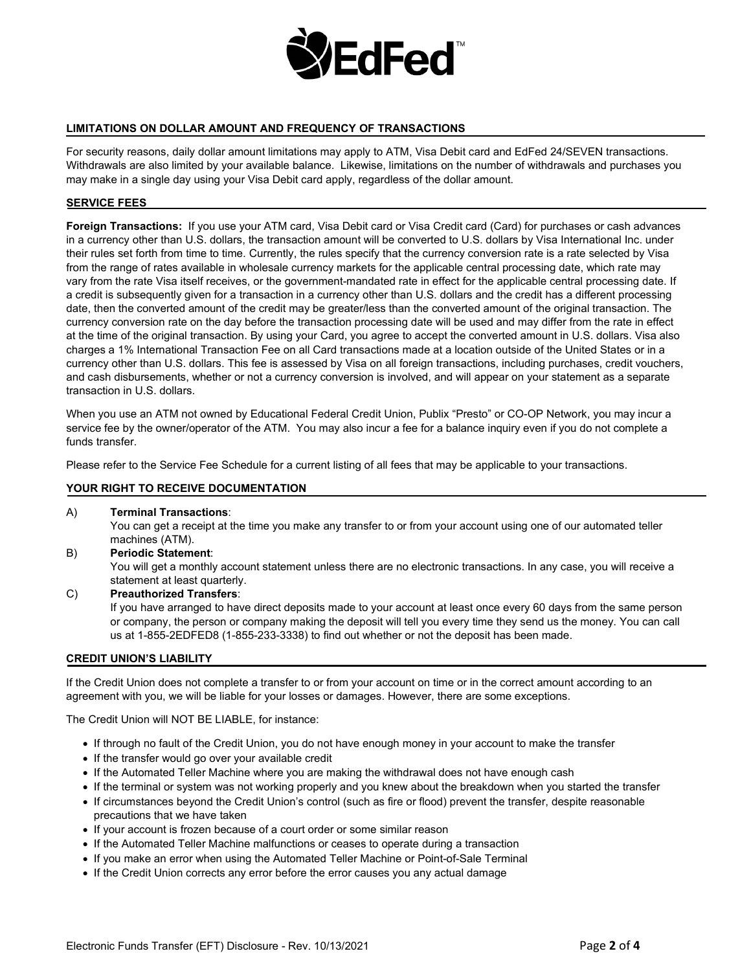

## **LIMITATIONS ON DOLLAR AMOUNT AND FREQUENCY OF TRANSACTIONS**

For security reasons, daily dollar amount limitations may apply to ATM, Visa Debit card and EdFed 24/SEVEN transactions. Withdrawals are also limited by your available balance. Likewise, limitations on the number of withdrawals and purchases you may make in a single day using your Visa Debit card apply, regardless of the dollar amount.

## **SERVICE FEES**

**Foreign Transactions:** If you use your ATM card, Visa Debit card or Visa Credit card (Card) for purchases or cash advances in a currency other than U.S. dollars, the transaction amount will be converted to U.S. dollars by Visa International Inc. under their rules set forth from time to time. Currently, the rules specify that the currency conversion rate is a rate selected by Visa from the range of rates available in wholesale currency markets for the applicable central processing date, which rate may vary from the rate Visa itself receives, or the government-mandated rate in effect for the applicable central processing date. If a credit is subsequently given for a transaction in a currency other than U.S. dollars and the credit has a different processing date, then the converted amount of the credit may be greater/less than the converted amount of the original transaction. The currency conversion rate on the day before the transaction processing date will be used and may differ from the rate in effect at the time of the original transaction. By using your Card, you agree to accept the converted amount in U.S. dollars. Visa also charges a 1% International Transaction Fee on all Card transactions made at a location outside of the United States or in a currency other than U.S. dollars. This fee is assessed by Visa on all foreign transactions, including purchases, credit vouchers, and cash disbursements, whether or not a currency conversion is involved, and will appear on your statement as a separate transaction in U.S. dollars.

When you use an ATM not owned by Educational Federal Credit Union, Publix "Presto" or CO-OP Network, you may incur a service fee by the owner/operator of the ATM. You may also incur a fee for a balance inquiry even if you do not complete a funds transfer.

Please refer to the Service Fee Schedule for a current listing of all fees that may be applicable to your transactions.

## **YOUR RIGHT TO RECEIVE DOCUMENTATION**

A) **Terminal Transactions**:

You can get a receipt at the time you make any transfer to or from your account using one of our automated teller machines (ATM).

B) **Periodic Statement**:

You will get a monthly account statement unless there are no electronic transactions. In any case, you will receive a statement at least quarterly.

C) **Preauthorized Transfers**:

If you have arranged to have direct deposits made to your account at least once every 60 days from the same person or company, the person or company making the deposit will tell you every time they send us the money. You can call us at 1-855-2EDFED8 (1-855-233-3338) to find out whether or not the deposit has been made.

## **CREDIT UNION'S LIABILITY**

If the Credit Union does not complete a transfer to or from your account on time or in the correct amount according to an agreement with you, we will be liable for your losses or damages. However, there are some exceptions.

The Credit Union will NOT BE LIABLE, for instance:

- If through no fault of the Credit Union, you do not have enough money in your account to make the transfer
- If the transfer would go over your available credit
- If the Automated Teller Machine where you are making the withdrawal does not have enough cash
- If the terminal or system was not working properly and you knew about the breakdown when you started the transfer
- If circumstances beyond the Credit Union's control (such as fire or flood) prevent the transfer, despite reasonable precautions that we have taken
- If your account is frozen because of a court order or some similar reason
- If the Automated Teller Machine malfunctions or ceases to operate during a transaction
- If you make an error when using the Automated Teller Machine or Point-of-Sale Terminal
- If the Credit Union corrects any error before the error causes you any actual damage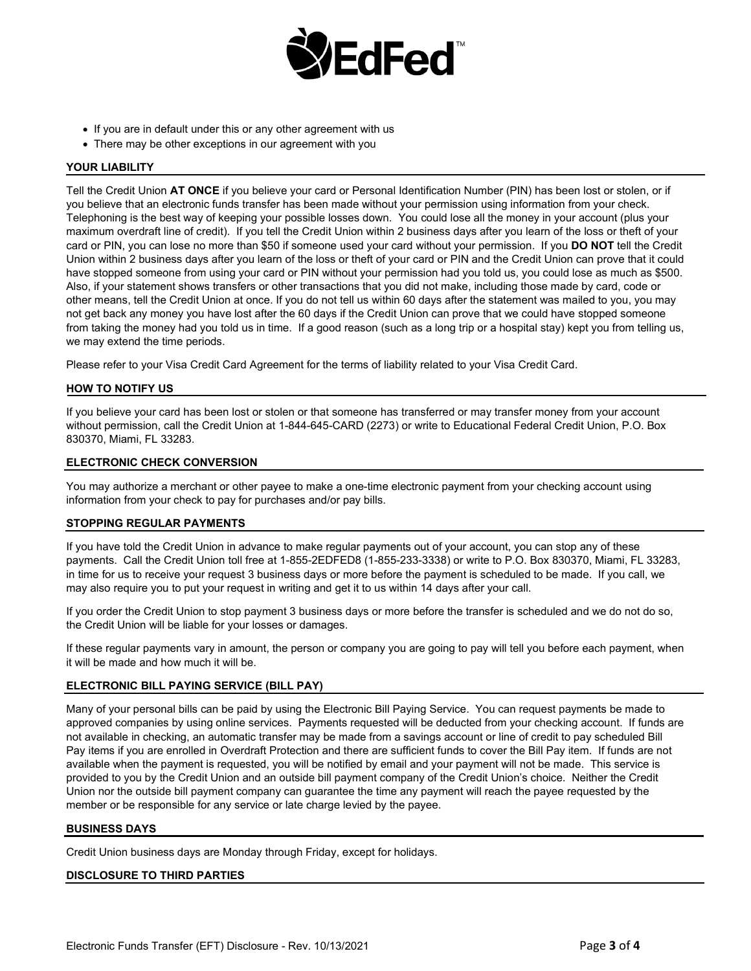

- If you are in default under this or any other agreement with us
- There may be other exceptions in our agreement with you

## **YOUR LIABILITY**

Tell the Credit Union **AT ONCE** if you believe your card or Personal Identification Number (PIN) has been lost or stolen, or if you believe that an electronic funds transfer has been made without your permission using information from your check. Telephoning is the best way of keeping your possible losses down. You could lose all the money in your account (plus your maximum overdraft line of credit). If you tell the Credit Union within 2 business days after you learn of the loss or theft of your card or PIN, you can lose no more than \$50 if someone used your card without your permission. If you **DO NOT** tell the Credit Union within 2 business days after you learn of the loss or theft of your card or PIN and the Credit Union can prove that it could have stopped someone from using your card or PIN without your permission had you told us, you could lose as much as \$500. Also, if your statement shows transfers or other transactions that you did not make, including those made by card, code or other means, tell the Credit Union at once. If you do not tell us within 60 days after the statement was mailed to you, you may not get back any money you have lost after the 60 days if the Credit Union can prove that we could have stopped someone from taking the money had you told us in time. If a good reason (such as a long trip or a hospital stay) kept you from telling us, we may extend the time periods.

Please refer to your Visa Credit Card Agreement for the terms of liability related to your Visa Credit Card.

## **HOW TO NOTIFY US**

If you believe your card has been lost or stolen or that someone has transferred or may transfer money from your account without permission, call the Credit Union at 1-844-645-CARD (2273) or write to Educational Federal Credit Union, P.O. Box 830370, Miami, FL 33283.

## **ELECTRONIC CHECK CONVERSION**

You may authorize a merchant or other payee to make a one-time electronic payment from your checking account using information from your check to pay for purchases and/or pay bills.

## **STOPPING REGULAR PAYMENTS**

If you have told the Credit Union in advance to make regular payments out of your account, you can stop any of these payments. Call the Credit Union toll free at 1-855-2EDFED8 (1-855-233-3338) or write to P.O. Box 830370, Miami, FL 33283, in time for us to receive your request 3 business days or more before the payment is scheduled to be made. If you call, we may also require you to put your request in writing and get it to us within 14 days after your call.

If you order the Credit Union to stop payment 3 business days or more before the transfer is scheduled and we do not do so, the Credit Union will be liable for your losses or damages.

If these regular payments vary in amount, the person or company you are going to pay will tell you before each payment, when it will be made and how much it will be.

## **ELECTRONIC BILL PAYING SERVICE (BILL PAY)**

Many of your personal bills can be paid by using the Electronic Bill Paying Service. You can request payments be made to approved companies by using online services. Payments requested will be deducted from your checking account. If funds are not available in checking, an automatic transfer may be made from a savings account or line of credit to pay scheduled Bill Pay items if you are enrolled in Overdraft Protection and there are sufficient funds to cover the Bill Pay item. If funds are not available when the payment is requested, you will be notified by email and your payment will not be made. This service is provided to you by the Credit Union and an outside bill payment company of the Credit Union's choice. Neither the Credit Union nor the outside bill payment company can guarantee the time any payment will reach the payee requested by the member or be responsible for any service or late charge levied by the payee.

## **BUSINESS DAYS**

Credit Union business days are Monday through Friday, except for holidays.

## **DISCLOSURE TO THIRD PARTIES**